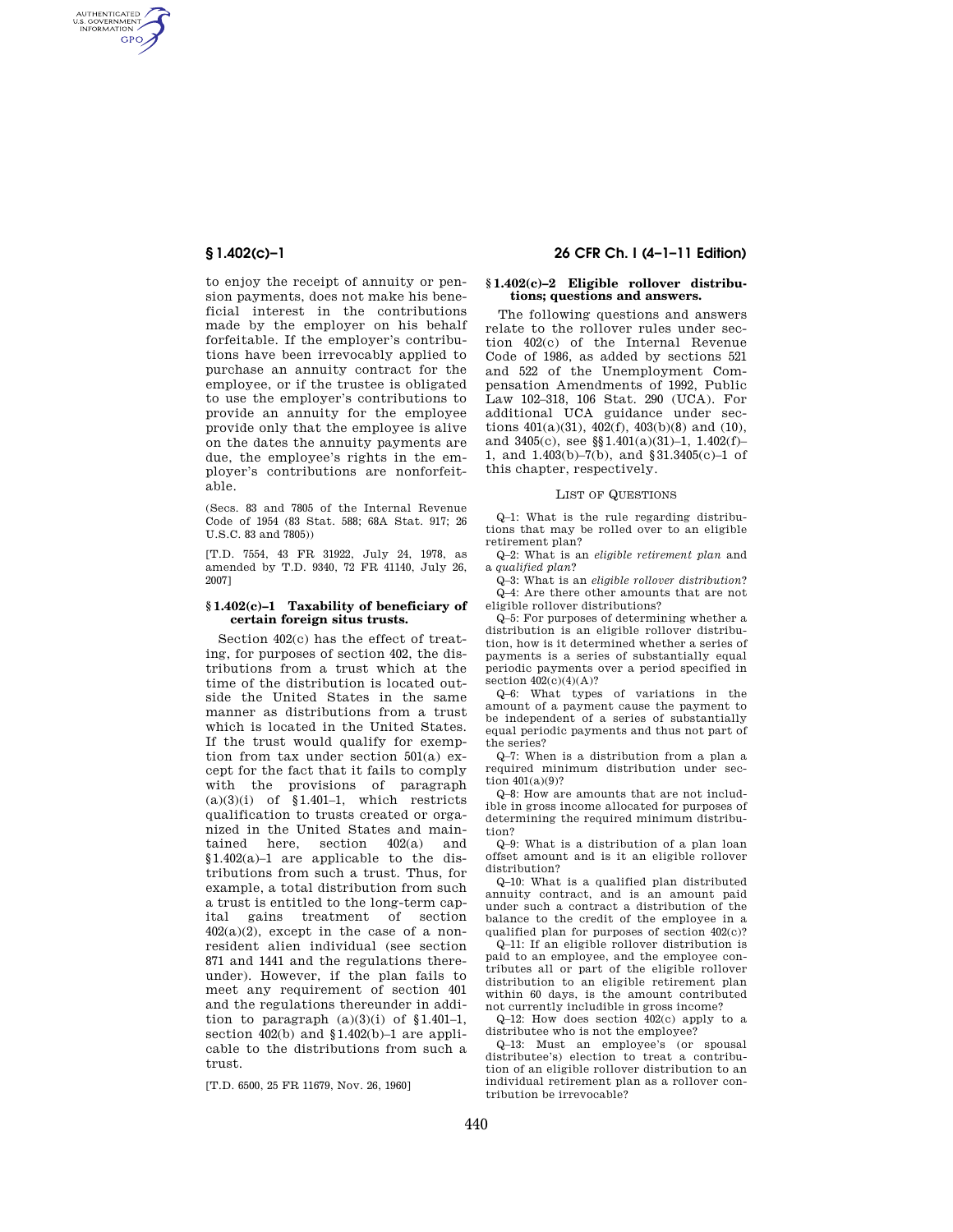AUTHENTICATED<br>U.S. GOVERNMENT<br>INFORMATION **GPO** 

> to enjoy the receipt of annuity or pension payments, does not make his beneficial interest in the contributions made by the employer on his behalf forfeitable. If the employer's contributions have been irrevocably applied to purchase an annuity contract for the employee, or if the trustee is obligated to use the employer's contributions to provide an annuity for the employee provide only that the employee is alive on the dates the annuity payments are due, the employee's rights in the employer's contributions are nonforfeitable.

(Secs. 83 and 7805 of the Internal Revenue Code of 1954 (83 Stat. 588; 68A Stat. 917; 26 U.S.C. 83 and 7805))

[T.D. 7554, 43 FR 31922, July 24, 1978, as amended by T.D. 9340, 72 FR 41140, July 26, 2007]

## **§ 1.402(c)–1 Taxability of beneficiary of certain foreign situs trusts.**

Section 402(c) has the effect of treating, for purposes of section 402, the distributions from a trust which at the time of the distribution is located outside the United States in the same manner as distributions from a trust which is located in the United States. If the trust would qualify for exemption from tax under section 501(a) except for the fact that it fails to comply with the provisions of paragraph  $(a)(3)(i)$  of §1.401-1, which restricts qualification to trusts created or organized in the United States and maintained here, section 402(a) and §1.402(a)–1 are applicable to the distributions from such a trust. Thus, for example, a total distribution from such a trust is entitled to the long-term capital gains treatment of section  $402(a)(2)$ , except in the case of a nonresident alien individual (see section 871 and 1441 and the regulations thereunder). However, if the plan fails to meet any requirement of section 401 and the regulations thereunder in addition to paragraph  $(a)(3)(i)$  of  $§1.401-1$ , section 402(b) and §1.402(b)–1 are applicable to the distributions from such a trust.

[T.D. 6500, 25 FR 11679, Nov. 26, 1960]

# **§ 1.402(c)–1 26 CFR Ch. I (4–1–11 Edition)**

## **§ 1.402(c)–2 Eligible rollover distributions; questions and answers.**

The following questions and answers relate to the rollover rules under section 402(c) of the Internal Revenue Code of 1986, as added by sections 521 and 522 of the Unemployment Compensation Amendments of 1992, Public Law 102–318, 106 Stat. 290 (UCA). For additional UCA guidance under sections  $401(a)(31)$ ,  $402(f)$ ,  $403(b)(8)$  and  $(10)$ , and 3405(c), see §§1.401(a)(31)–1, 1.402(f)– 1, and 1.403(b)–7(b), and §31.3405(c)–1 of this chapter, respectively.

#### LIST OF QUESTIONS

Q–1: What is the rule regarding distributions that may be rolled over to an eligible retirement plan?

Q–2: What is an *eligible retirement plan* and a *qualified plan*?

Q–3: What is an *eligible rollover distribution*? Q–4: Are there other amounts that are not eligible rollover distributions?

Q–5: For purposes of determining whether a distribution is an eligible rollover distribution, how is it determined whether a series of payments is a series of substantially equal periodic payments over a period specified in section  $402(c)(4)(A)?$ 

Q–6: What types of variations in the amount of a payment cause the payment to be independent of a series of substantially equal periodic payments and thus not part of the series?

Q–7: When is a distribution from a plan a required minimum distribution under section 401(a)(9)?

Q–8: How are amounts that are not includible in gross income allocated for purposes of determining the required minimum distribution?

Q–9: What is a distribution of a plan loan offset amount and is it an eligible rollover distribution?

Q–10: What is a qualified plan distributed annuity contract, and is an amount paid under such a contract a distribution of the balance to the credit of the employee in a qualified plan for purposes of section 402(c)?

Q–11: If an eligible rollover distribution is paid to an employee, and the employee contributes all or part of the eligible rollover distribution to an eligible retirement plan within 60 days, is the amount contributed not currently includible in gross income?

Q–12: How does section 402(c) apply to a distributee who is not the employee?

Q–13: Must an employee's (or spousal distributee's) election to treat a contribution of an eligible rollover distribution to an individual retirement plan as a rollover contribution be irrevocable?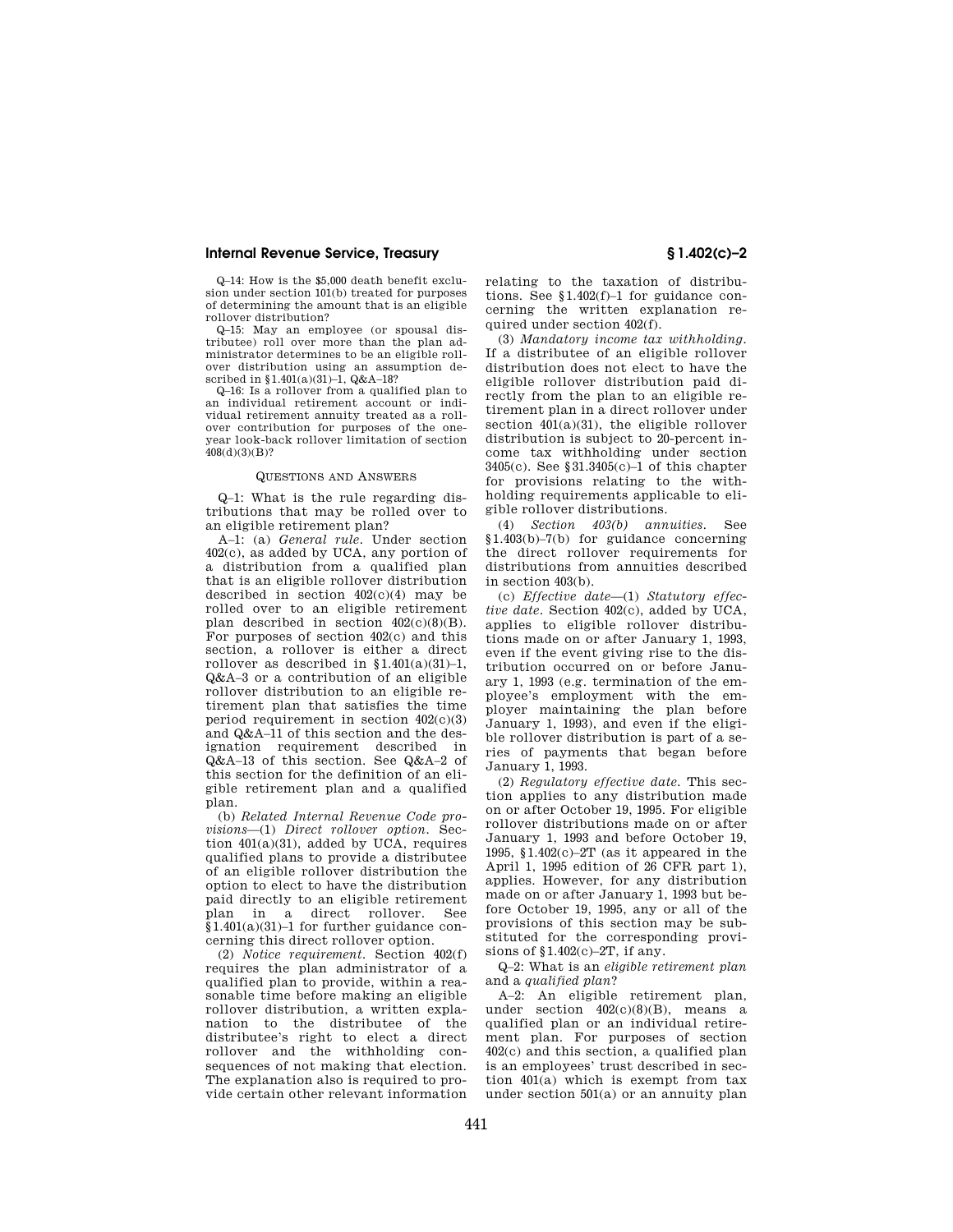Q–14: How is the \$5,000 death benefit exclusion under section 101(b) treated for purposes of determining the amount that is an eligible rollover distribution?

Q–15: May an employee (or spousal distributee) roll over more than the plan administrator determines to be an eligible rollover distribution using an assumption described in §1.401(a)(31)-1, Q&A-18?

Q–16: Is a rollover from a qualified plan to an individual retirement account or individual retirement annuity treated as a rollover contribution for purposes of the oneyear look-back rollover limitation of section  $408(d)(3)(B)?$ 

#### QUESTIONS AND ANSWERS

Q–1: What is the rule regarding distributions that may be rolled over to an eligible retirement plan?

A–1: (a) *General rule.* Under section 402(c), as added by UCA, any portion of a distribution from a qualified plan that is an eligible rollover distribution described in section  $402(c)(4)$  may be rolled over to an eligible retirement plan described in section  $402(c)(8)(B)$ . For purposes of section 402(c) and this section, a rollover is either a direct rollover as described in  $$1.401(a)(31)-1$ , Q&A–3 or a contribution of an eligible rollover distribution to an eligible retirement plan that satisfies the time period requirement in section  $402(c)(3)$ and Q&A–11 of this section and the designation requirement described in Q&A–13 of this section. See Q&A–2 of this section for the definition of an eligible retirement plan and a qualified plan.

(b) *Related Internal Revenue Code provisions*—(1) *Direct rollover option.* Section 401(a)(31), added by UCA, requires qualified plans to provide a distributee of an eligible rollover distribution the option to elect to have the distribution paid directly to an eligible retirement plan in a direct rollover. See §1.401(a)(31)–1 for further guidance concerning this direct rollover option.

(2) *Notice requirement.* Section 402(f) requires the plan administrator of a qualified plan to provide, within a reasonable time before making an eligible rollover distribution, a written explanation to the distributee of the distributee's right to elect a direct rollover and the withholding consequences of not making that election. The explanation also is required to provide certain other relevant information

relating to the taxation of distributions. See §1.402(f)–1 for guidance concerning the written explanation required under section 402(f).

(3) *Mandatory income tax withholding.*  If a distributee of an eligible rollover distribution does not elect to have the eligible rollover distribution paid directly from the plan to an eligible retirement plan in a direct rollover under section 401(a)(31), the eligible rollover distribution is subject to 20-percent income tax withholding under section 3405(c). See §31.3405(c)–1 of this chapter for provisions relating to the withholding requirements applicable to eligible rollover distributions.

(4) *Section 403(b) annuities.* See §1.403(b)–7(b) for guidance concerning the direct rollover requirements for distributions from annuities described in section 403(b).

(c) *Effective date*—(1) *Statutory effective date.* Section 402(c), added by UCA, applies to eligible rollover distributions made on or after January 1, 1993, even if the event giving rise to the distribution occurred on or before January 1, 1993 (e.g. termination of the employee's employment with the employer maintaining the plan before January 1, 1993), and even if the eligible rollover distribution is part of a series of payments that began before January 1, 1993.

(2) *Regulatory effective date.* This section applies to any distribution made on or after October 19, 1995. For eligible rollover distributions made on or after January 1, 1993 and before October 19, 1995, §1.402(c)–2T (as it appeared in the April 1, 1995 edition of 26 CFR part 1), applies. However, for any distribution made on or after January 1, 1993 but before October 19, 1995, any or all of the provisions of this section may be substituted for the corresponding provisions of §1.402(c)–2T, if any.

Q–2: What is an *eligible retirement plan*  and a *qualified plan*?

A–2: An eligible retirement plan, under section  $402(c)(8)(B)$ , means a qualified plan or an individual retirement plan. For purposes of section 402(c) and this section, a qualified plan is an employees' trust described in section 401(a) which is exempt from tax under section 501(a) or an annuity plan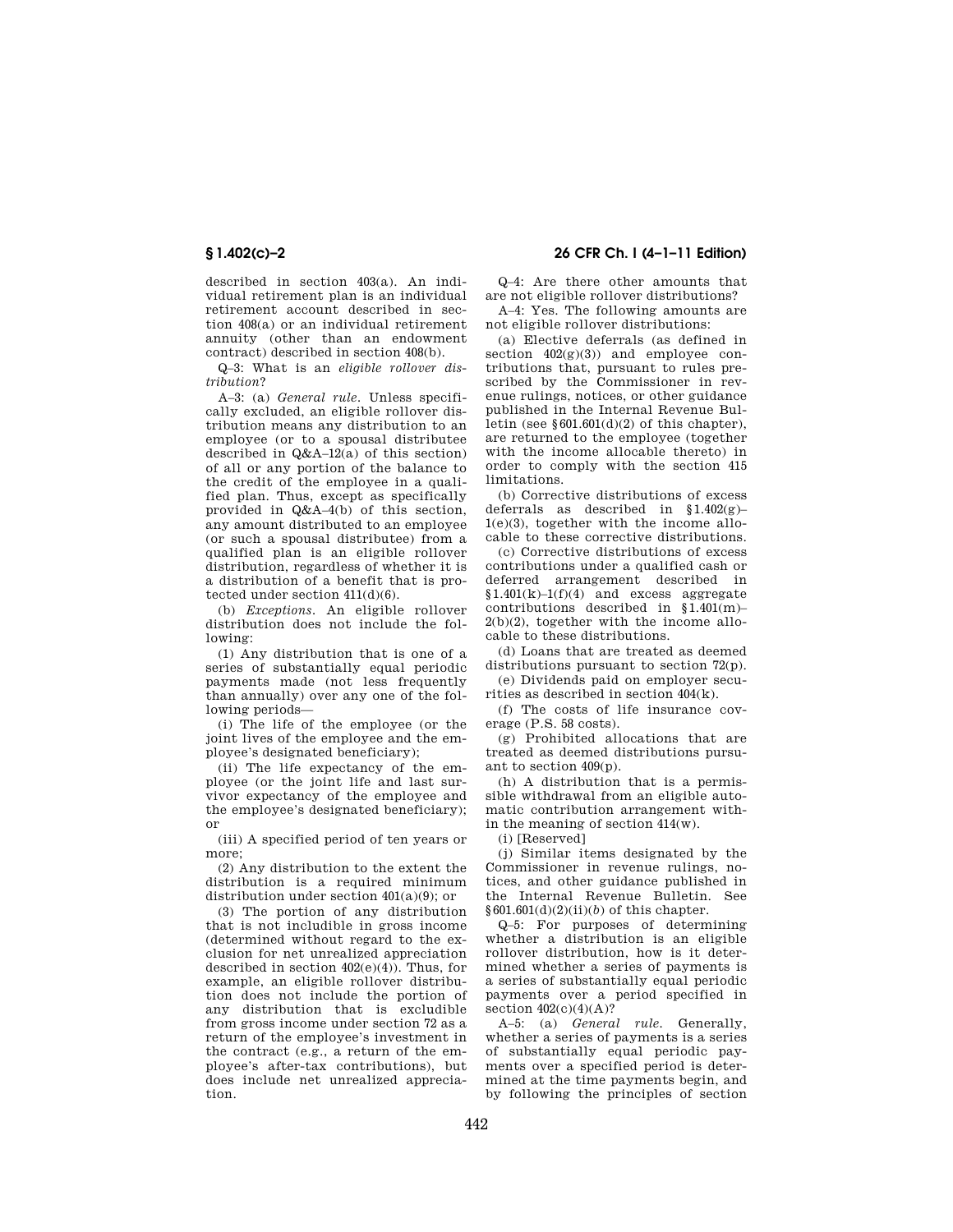described in section 403(a). An individual retirement plan is an individual retirement account described in section 408(a) or an individual retirement annuity (other than an endowment contract) described in section 408(b).

Q–3: What is an *eligible rollover distribution*?

A–3: (a) *General rule.* Unless specifically excluded, an eligible rollover distribution means any distribution to an employee (or to a spousal distributee described in Q&A–12(a) of this section) of all or any portion of the balance to the credit of the employee in a qualified plan. Thus, except as specifically provided in Q&A–4(b) of this section, any amount distributed to an employee (or such a spousal distributee) from a qualified plan is an eligible rollover distribution, regardless of whether it is a distribution of a benefit that is protected under section 411(d)(6).

(b) *Exceptions.* An eligible rollover distribution does not include the following:

(1) Any distribution that is one of a series of substantially equal periodic payments made (not less frequently than annually) over any one of the following periods—

(i) The life of the employee (or the joint lives of the employee and the employee's designated beneficiary);

(ii) The life expectancy of the employee (or the joint life and last survivor expectancy of the employee and the employee's designated beneficiary); or

(iii) A specified period of ten years or more;

(2) Any distribution to the extent the distribution is a required minimum distribution under section 401(a)(9); or

(3) The portion of any distribution that is not includible in gross income (determined without regard to the exclusion for net unrealized appreciation described in section  $402(e)(4)$ ). Thus, for example, an eligible rollover distribution does not include the portion of any distribution that is excludible from gross income under section 72 as a return of the employee's investment in the contract (e.g., a return of the employee's after-tax contributions), but does include net unrealized appreciation.

**§ 1.402(c)–2 26 CFR Ch. I (4–1–11 Edition)** 

Q–4: Are there other amounts that are not eligible rollover distributions?

A–4: Yes. The following amounts are not eligible rollover distributions:

(a) Elective deferrals (as defined in section  $402(g)(3)$  and employee contributions that, pursuant to rules prescribed by the Commissioner in revenue rulings, notices, or other guidance published in the Internal Revenue Bulletin (see  $$601.601(d)(2)$  of this chapter). are returned to the employee (together with the income allocable thereto) in order to comply with the section 415 limitations.

(b) Corrective distributions of excess deferrals as described in  $$1.402(g)$ -1(e)(3), together with the income allocable to these corrective distributions.

(c) Corrective distributions of excess contributions under a qualified cash or deferred arrangement described in  $$1.401(k)-1(f)(4)$  and excess aggregate contributions described in §1.401(m)–  $2(b)(2)$ , together with the income allocable to these distributions.

(d) Loans that are treated as deemed distributions pursuant to section 72(p).

(e) Dividends paid on employer securities as described in section 404(k).

(f) The costs of life insurance coverage (P.S. 58 costs).

(g) Prohibited allocations that are treated as deemed distributions pursuant to section 409(p).

(h) A distribution that is a permissible withdrawal from an eligible automatic contribution arrangement within the meaning of section 414(w).

(i) [Reserved]

(j) Similar items designated by the Commissioner in revenue rulings, notices, and other guidance published in the Internal Revenue Bulletin. See §601.601(d)(2)(ii)(*b*) of this chapter.

Q–5: For purposes of determining whether a distribution is an eligible rollover distribution, how is it determined whether a series of payments is a series of substantially equal periodic payments over a period specified in section  $402(c)(4)(A)$ ?

A–5: (a) *General rule.* Generally, whether a series of payments is a series of substantially equal periodic payments over a specified period is determined at the time payments begin, and by following the principles of section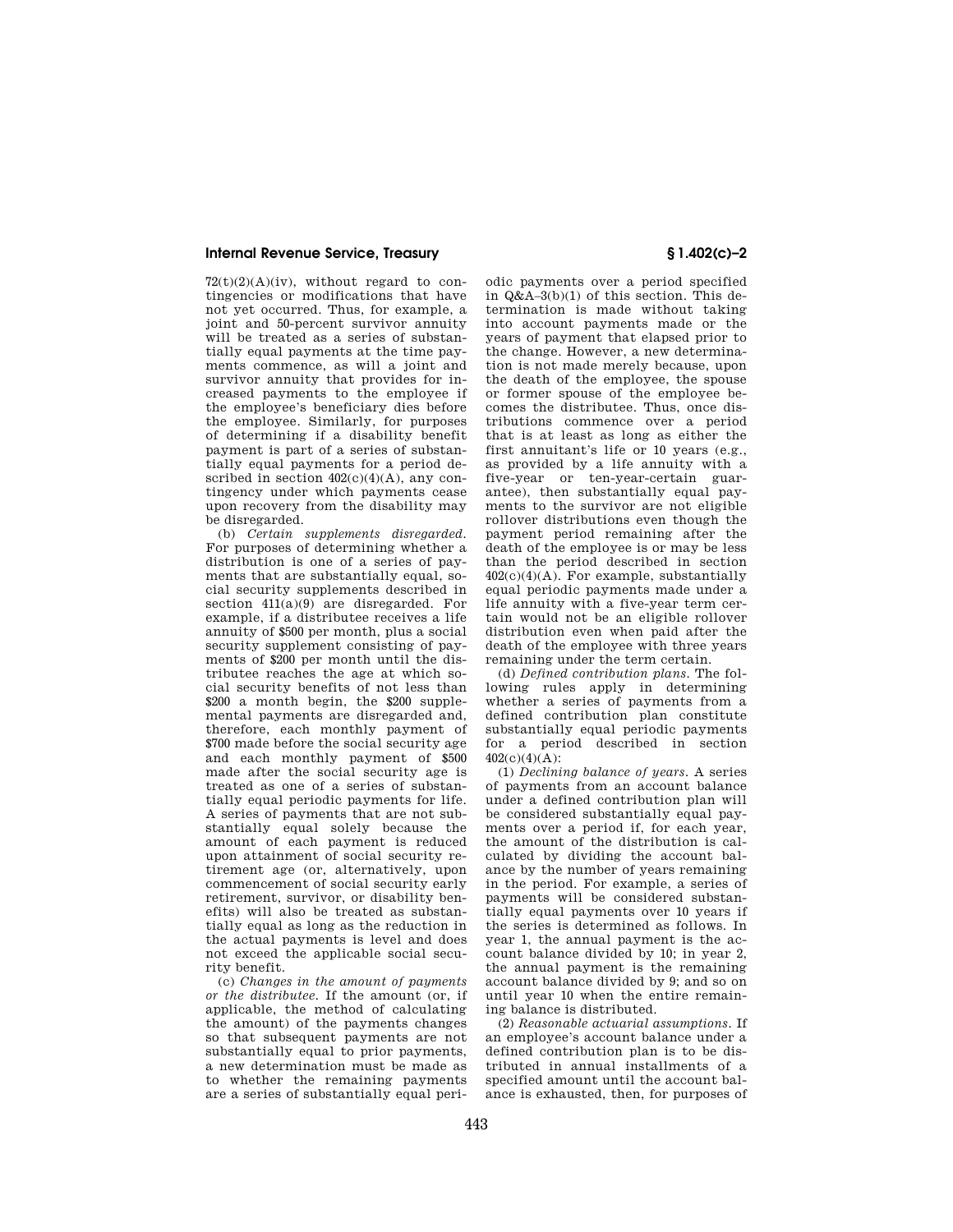$72(t)(2)(A)(iv)$ , without regard to contingencies or modifications that have not yet occurred. Thus, for example, a joint and 50-percent survivor annuity will be treated as a series of substantially equal payments at the time payments commence, as will a joint and survivor annuity that provides for increased payments to the employee if the employee's beneficiary dies before the employee. Similarly, for purposes of determining if a disability benefit payment is part of a series of substantially equal payments for a period described in section  $402(c)(4)(A)$ , any contingency under which payments cease upon recovery from the disability may be disregarded.

(b) *Certain supplements disregarded.*  For purposes of determining whether a distribution is one of a series of payments that are substantially equal, social security supplements described in section  $411(a)(9)$  are disregarded. For example, if a distributee receives a life annuity of \$500 per month, plus a social security supplement consisting of payments of \$200 per month until the distributee reaches the age at which social security benefits of not less than \$200 a month begin, the \$200 supplemental payments are disregarded and, therefore, each monthly payment of \$700 made before the social security age and each monthly payment of \$500 made after the social security age is treated as one of a series of substantially equal periodic payments for life. A series of payments that are not substantially equal solely because the amount of each payment is reduced upon attainment of social security retirement age (or, alternatively, upon commencement of social security early retirement, survivor, or disability benefits) will also be treated as substantially equal as long as the reduction in the actual payments is level and does not exceed the applicable social security benefit.

(c) *Changes in the amount of payments or the distributee.* If the amount (or, if applicable, the method of calculating the amount) of the payments changes so that subsequent payments are not substantially equal to prior payments, a new determination must be made as to whether the remaining payments are a series of substantially equal peri-

odic payments over a period specified in Q&A–3(b)(1) of this section. This determination is made without taking into account payments made or the years of payment that elapsed prior to the change. However, a new determination is not made merely because, upon the death of the employee, the spouse or former spouse of the employee becomes the distributee. Thus, once distributions commence over a period that is at least as long as either the first annuitant's life or 10 years (e.g., as provided by a life annuity with a five-year or ten-year-certain guarantee), then substantially equal payments to the survivor are not eligible rollover distributions even though the payment period remaining after the death of the employee is or may be less than the period described in section  $402(c)(4)(A)$ . For example, substantially equal periodic payments made under a life annuity with a five-year term certain would not be an eligible rollover distribution even when paid after the death of the employee with three years remaining under the term certain.

(d) *Defined contribution plans.* The following rules apply in determining whether a series of payments from a defined contribution plan constitute substantially equal periodic payments for a period described in section  $402(c)(4)(A)$ 

(1) *Declining balance of years.* A series of payments from an account balance under a defined contribution plan will be considered substantially equal payments over a period if, for each year, the amount of the distribution is calculated by dividing the account balance by the number of years remaining in the period. For example, a series of payments will be considered substantially equal payments over 10 years if the series is determined as follows. In year 1, the annual payment is the account balance divided by 10; in year 2, the annual payment is the remaining account balance divided by 9; and so on until year 10 when the entire remaining balance is distributed.

(2) *Reasonable actuarial assumptions.* If an employee's account balance under a defined contribution plan is to be distributed in annual installments of a specified amount until the account balance is exhausted, then, for purposes of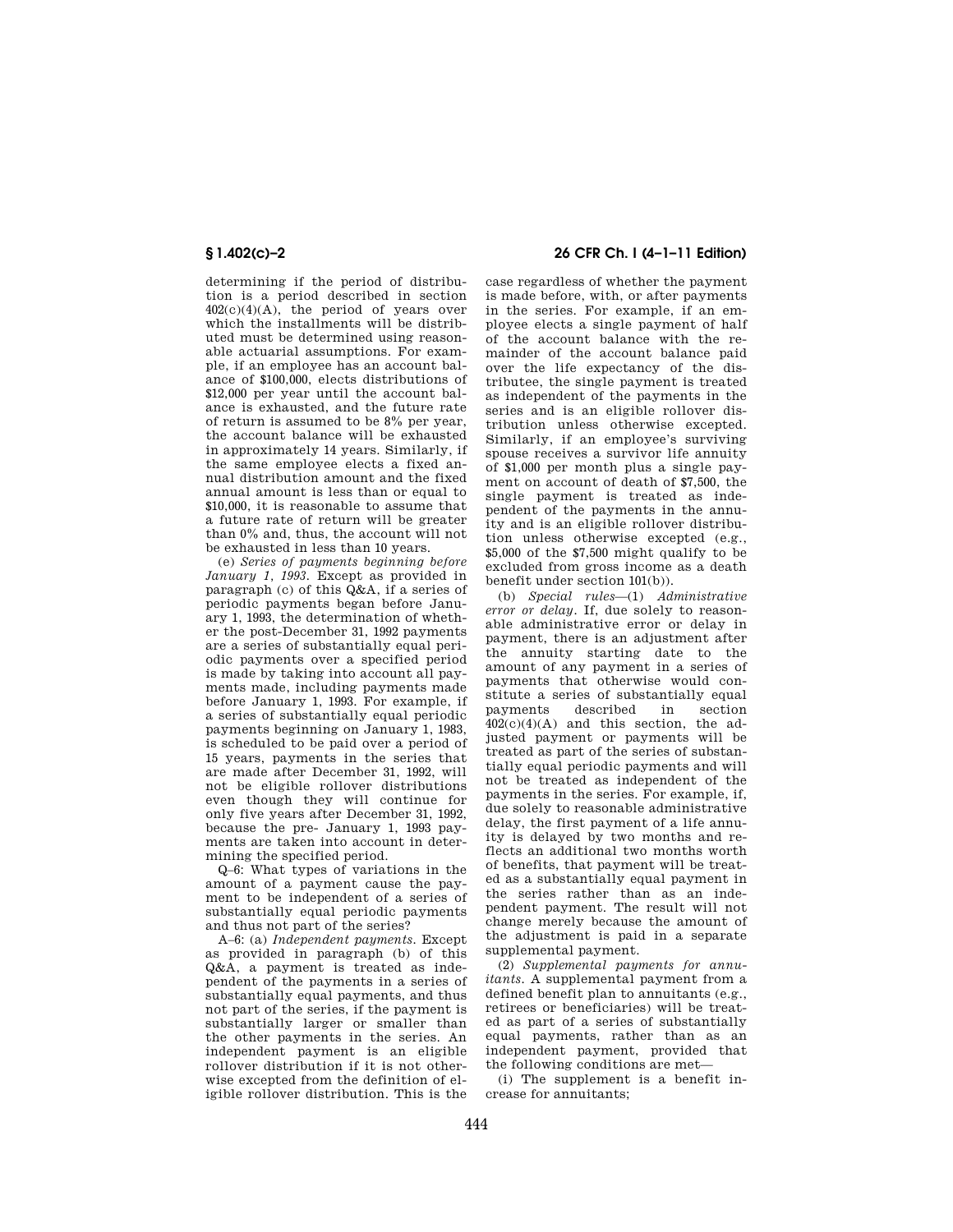determining if the period of distribution is a period described in section  $402(c)(4)(A)$ , the period of years over which the installments will be distributed must be determined using reasonable actuarial assumptions. For example, if an employee has an account balance of \$100,000, elects distributions of \$12,000 per year until the account balance is exhausted, and the future rate of return is assumed to be 8% per year, the account balance will be exhausted in approximately 14 years. Similarly, if the same employee elects a fixed annual distribution amount and the fixed annual amount is less than or equal to \$10,000, it is reasonable to assume that a future rate of return will be greater than 0% and, thus, the account will not be exhausted in less than 10 years.

(e) *Series of payments beginning before January 1, 1993.* Except as provided in paragraph (c) of this Q&A, if a series of periodic payments began before January 1, 1993, the determination of whether the post-December 31, 1992 payments are a series of substantially equal periodic payments over a specified period is made by taking into account all payments made, including payments made before January 1, 1993. For example, if a series of substantially equal periodic payments beginning on January 1, 1983, is scheduled to be paid over a period of 15 years, payments in the series that are made after December 31, 1992, will not be eligible rollover distributions even though they will continue for only five years after December 31, 1992, because the pre- January 1, 1993 payments are taken into account in determining the specified period.

Q–6: What types of variations in the amount of a payment cause the payment to be independent of a series of substantially equal periodic payments and thus not part of the series?

A–6: (a) *Independent payments.* Except as provided in paragraph (b) of this Q&A, a payment is treated as independent of the payments in a series of substantially equal payments, and thus not part of the series, if the payment is substantially larger or smaller than the other payments in the series. An independent payment is an eligible rollover distribution if it is not otherwise excepted from the definition of eligible rollover distribution. This is the

# **§ 1.402(c)–2 26 CFR Ch. I (4–1–11 Edition)**

case regardless of whether the payment is made before, with, or after payments in the series. For example, if an employee elects a single payment of half of the account balance with the remainder of the account balance paid over the life expectancy of the distributee, the single payment is treated as independent of the payments in the series and is an eligible rollover distribution unless otherwise excepted. Similarly, if an employee's surviving spouse receives a survivor life annuity of \$1,000 per month plus a single payment on account of death of \$7,500, the single payment is treated as independent of the payments in the annuity and is an eligible rollover distribution unless otherwise excepted (e.g., \$5,000 of the \$7,500 might qualify to be excluded from gross income as a death benefit under section 101(b)).

(b) *Special rules*—(1) *Administrative error or delay.* If, due solely to reasonable administrative error or delay in payment, there is an adjustment after the annuity starting date to the amount of any payment in a series of payments that otherwise would constitute a series of substantially equal<br>payments described in section payments described in  $402(c)(4)(A)$  and this section, the adjusted payment or payments will be treated as part of the series of substantially equal periodic payments and will not be treated as independent of the payments in the series. For example, if, due solely to reasonable administrative delay, the first payment of a life annuity is delayed by two months and reflects an additional two months worth of benefits, that payment will be treated as a substantially equal payment in the series rather than as an independent payment. The result will not change merely because the amount of the adjustment is paid in a separate supplemental payment.

(2) *Supplemental payments for annuitants.* A supplemental payment from a defined benefit plan to annuitants (e.g., retirees or beneficiaries) will be treated as part of a series of substantially equal payments, rather than as an independent payment, provided that the following conditions are met—

(i) The supplement is a benefit increase for annuitants;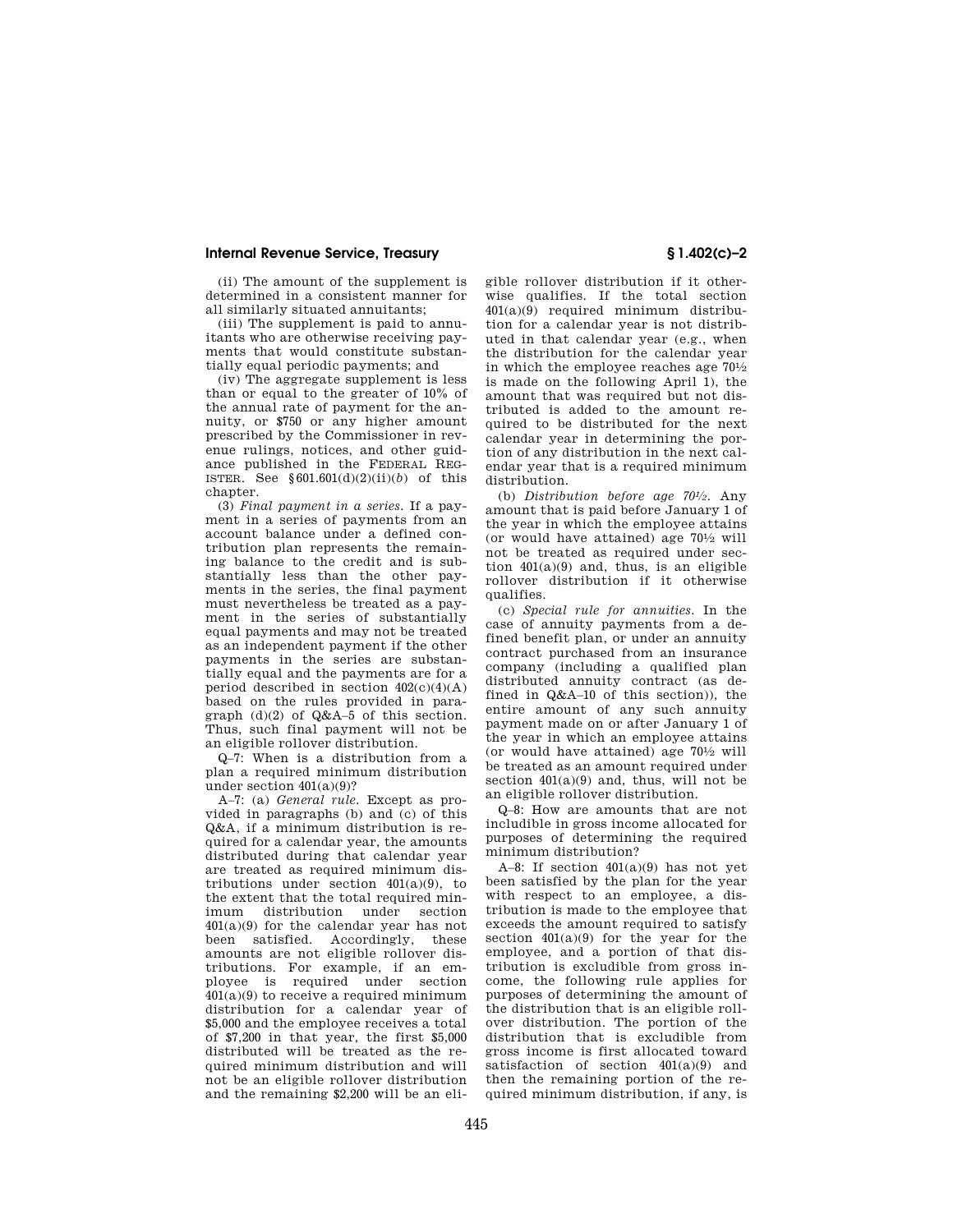(ii) The amount of the supplement is determined in a consistent manner for all similarly situated annuitants;

(iii) The supplement is paid to annuitants who are otherwise receiving payments that would constitute substantially equal periodic payments; and

(iv) The aggregate supplement is less than or equal to the greater of 10% of the annual rate of payment for the annuity, or \$750 or any higher amount prescribed by the Commissioner in revenue rulings, notices, and other guidance published in the FEDERAL REG-ISTER. See  $§601.601(d)(2)(ii)(b)$  of this chapter.

(3) *Final payment in a series.* If a payment in a series of payments from an account balance under a defined contribution plan represents the remaining balance to the credit and is substantially less than the other payments in the series, the final payment must nevertheless be treated as a payment in the series of substantially equal payments and may not be treated as an independent payment if the other payments in the series are substantially equal and the payments are for a period described in section  $402(c)(4)(A)$ based on the rules provided in paragraph (d)(2) of Q&A–5 of this section. Thus, such final payment will not be an eligible rollover distribution.

Q–7: When is a distribution from a plan a required minimum distribution under section  $401(a)(9)$ ?

A–7: (a) *General rule.* Except as provided in paragraphs (b) and (c) of this Q&A, if a minimum distribution is required for a calendar year, the amounts distributed during that calendar year are treated as required minimum distributions under section  $401(a)(9)$ , to the extent that the total required minimum distribution under section 401(a)(9) for the calendar year has not been satisfied. Accordingly, these amounts are not eligible rollover distributions. For example, if an employee is required under section  $401(a)(9)$  to receive a required minimum distribution for a calendar year of \$5,000 and the employee receives a total of \$7,200 in that year, the first \$5,000 distributed will be treated as the required minimum distribution and will not be an eligible rollover distribution and the remaining \$2,200 will be an eli-

gible rollover distribution if it otherwise qualifies. If the total section 401(a)(9) required minimum distribution for a calendar year is not distributed in that calendar year (e.g., when the distribution for the calendar year in which the employee reaches age 701⁄2 is made on the following April 1), the amount that was required but not distributed is added to the amount required to be distributed for the next calendar year in determining the portion of any distribution in the next calendar year that is a required minimum distribution.

(b) *Distribution before age 701⁄2.* Any amount that is paid before January 1 of the year in which the employee attains (or would have attained) age  $70\frac{1}{2}$  will not be treated as required under section  $401(a)(9)$  and, thus, is an eligible rollover distribution if it otherwise qualifies.

(c) *Special rule for annuities.* In the case of annuity payments from a defined benefit plan, or under an annuity contract purchased from an insurance company (including a qualified plan distributed annuity contract (as defined in Q&A–10 of this section)), the entire amount of any such annuity payment made on or after January 1 of the year in which an employee attains (or would have attained) age  $70\frac{1}{2}$  will be treated as an amount required under section 401(a)(9) and, thus, will not be an eligible rollover distribution.

Q–8: How are amounts that are not includible in gross income allocated for purposes of determining the required minimum distribution?

A–8: If section  $401(a)(9)$  has not yet been satisfied by the plan for the year with respect to an employee, a distribution is made to the employee that exceeds the amount required to satisfy section 401(a)(9) for the year for the employee, and a portion of that distribution is excludible from gross income, the following rule applies for purposes of determining the amount of the distribution that is an eligible rollover distribution. The portion of the distribution that is excludible from gross income is first allocated toward satisfaction of section 401(a)(9) and then the remaining portion of the required minimum distribution, if any, is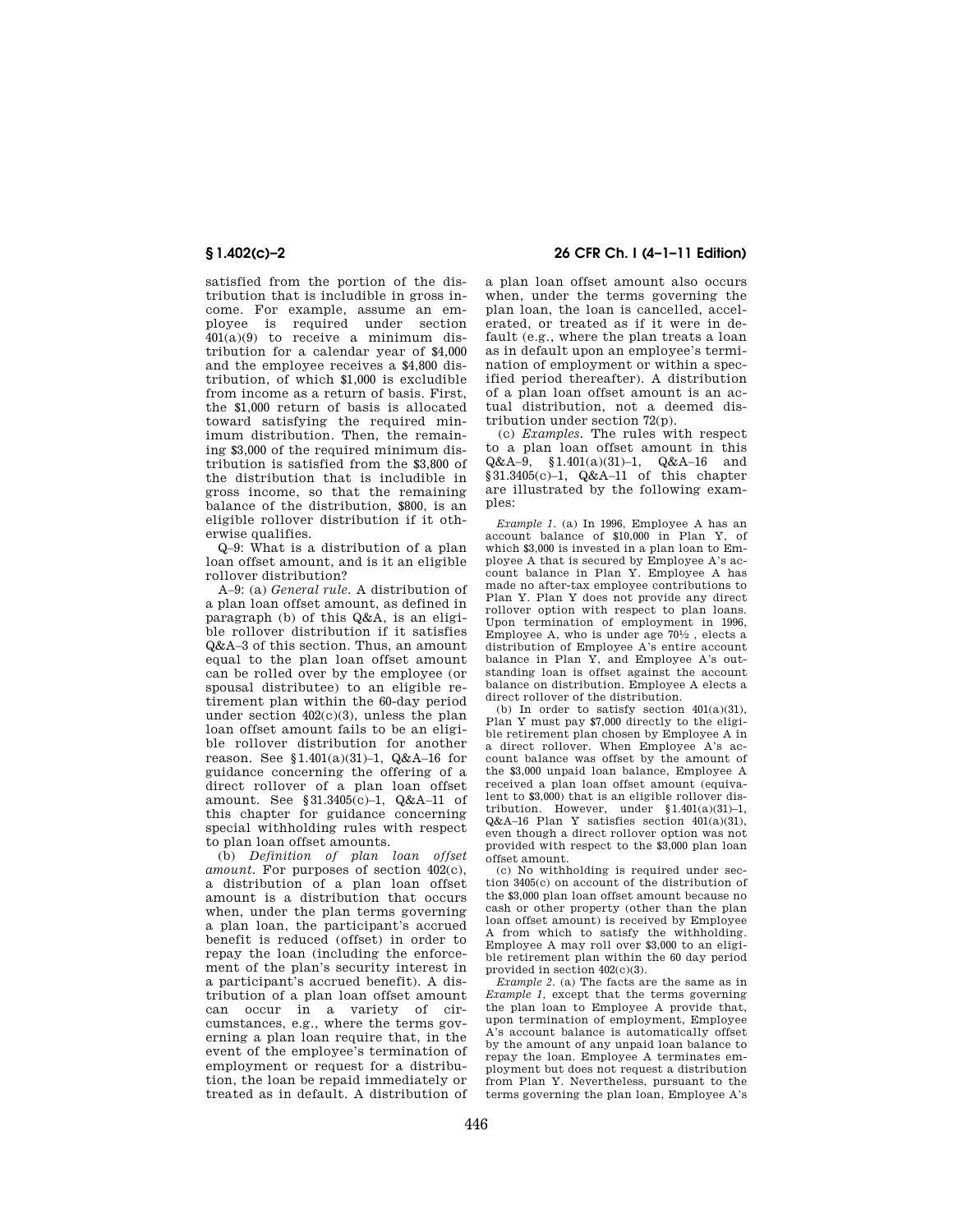satisfied from the portion of the distribution that is includible in gross income. For example, assume an employee is required under section 401(a)(9) to receive a minimum distribution for a calendar year of \$4,000 and the employee receives a \$4,800 distribution, of which \$1,000 is excludible from income as a return of basis. First, the \$1,000 return of basis is allocated toward satisfying the required minimum distribution. Then, the remaining \$3,000 of the required minimum distribution is satisfied from the \$3,800 of the distribution that is includible in gross income, so that the remaining balance of the distribution, \$800, is an eligible rollover distribution if it otherwise qualifies.

Q–9: What is a distribution of a plan loan offset amount, and is it an eligible rollover distribution?

A–9: (a) *General rule.* A distribution of a plan loan offset amount, as defined in paragraph (b) of this Q&A, is an eligible rollover distribution if it satisfies Q&A–3 of this section. Thus, an amount equal to the plan loan offset amount can be rolled over by the employee (or spousal distributee) to an eligible retirement plan within the 60-day period under section 402(c)(3), unless the plan loan offset amount fails to be an eligible rollover distribution for another reason. See §1.401(a)(31)–1, Q&A–16 for guidance concerning the offering of a direct rollover of a plan loan offset amount. See §31.3405(c)–1, Q&A–11 of this chapter for guidance concerning special withholding rules with respect to plan loan offset amounts.

(b) *Definition of plan loan offset amount.* For purposes of section 402(c), a distribution of a plan loan offset amount is a distribution that occurs when, under the plan terms governing a plan loan, the participant's accrued benefit is reduced (offset) in order to repay the loan (including the enforcement of the plan's security interest in a participant's accrued benefit). A distribution of a plan loan offset amount can occur in a variety of circumstances, e.g., where the terms governing a plan loan require that, in the event of the employee's termination of employment or request for a distribution, the loan be repaid immediately or treated as in default. A distribution of

**§ 1.402(c)–2 26 CFR Ch. I (4–1–11 Edition)** 

a plan loan offset amount also occurs when, under the terms governing the plan loan, the loan is cancelled, accelerated, or treated as if it were in default (e.g., where the plan treats a loan as in default upon an employee's termination of employment or within a specified period thereafter). A distribution of a plan loan offset amount is an actual distribution, not a deemed distribution under section 72(p).

(c) *Examples.* The rules with respect to a plan loan offset amount in this Q&A–9, §1.401(a)(31)–1, Q&A–16 and §31.3405(c)–1, Q&A–11 of this chapter are illustrated by the following examples:

*Example 1.* (a) In 1996, Employee A has an account balance of \$10,000 in Plan Y, of which \$3,000 is invested in a plan loan to Employee A that is secured by Employee A's account balance in Plan Y. Employee A has made no after-tax employee contributions to Plan Y. Plan Y does not provide any direct rollover option with respect to plan loans. Upon termination of employment in 1996, Employee A, who is under age  $70\frac{1}{2}$ , elects a distribution of Employee A's entire account balance in Plan Y, and Employee A's outstanding loan is offset against the account balance on distribution. Employee A elects a direct rollover of the distribution.

(b) In order to satisfy section  $401(a)(31)$ , Plan Y must pay \$7,000 directly to the eligible retirement plan chosen by Employee A in a direct rollover. When Employee A's account balance was offset by the amount of the \$3,000 unpaid loan balance, Employee A received a plan loan offset amount (equivalent to \$3,000) that is an eligible rollover distribution. However, under §1.401(a)(31)–1,  $Q&A-16$  Plan Y satisfies section  $401(a)(31)$ , even though a direct rollover option was not provided with respect to the \$3,000 plan loan offset amount.

(c) No withholding is required under section 3405(c) on account of the distribution of the \$3,000 plan loan offset amount because no cash or other property (other than the plan loan offset amount) is received by Employee A from which to satisfy the withholding. Employee A may roll over \$3,000 to an eligible retirement plan within the 60 day period provided in section 402(c)(3).

*Example 2.* (a) The facts are the same as in *Example 1,* except that the terms governing the plan loan to Employee A provide that, upon termination of employment, Employee A's account balance is automatically offset by the amount of any unpaid loan balance to repay the loan. Employee A terminates employment but does not request a distribution from Plan Y. Nevertheless, pursuant to the terms governing the plan loan, Employee A's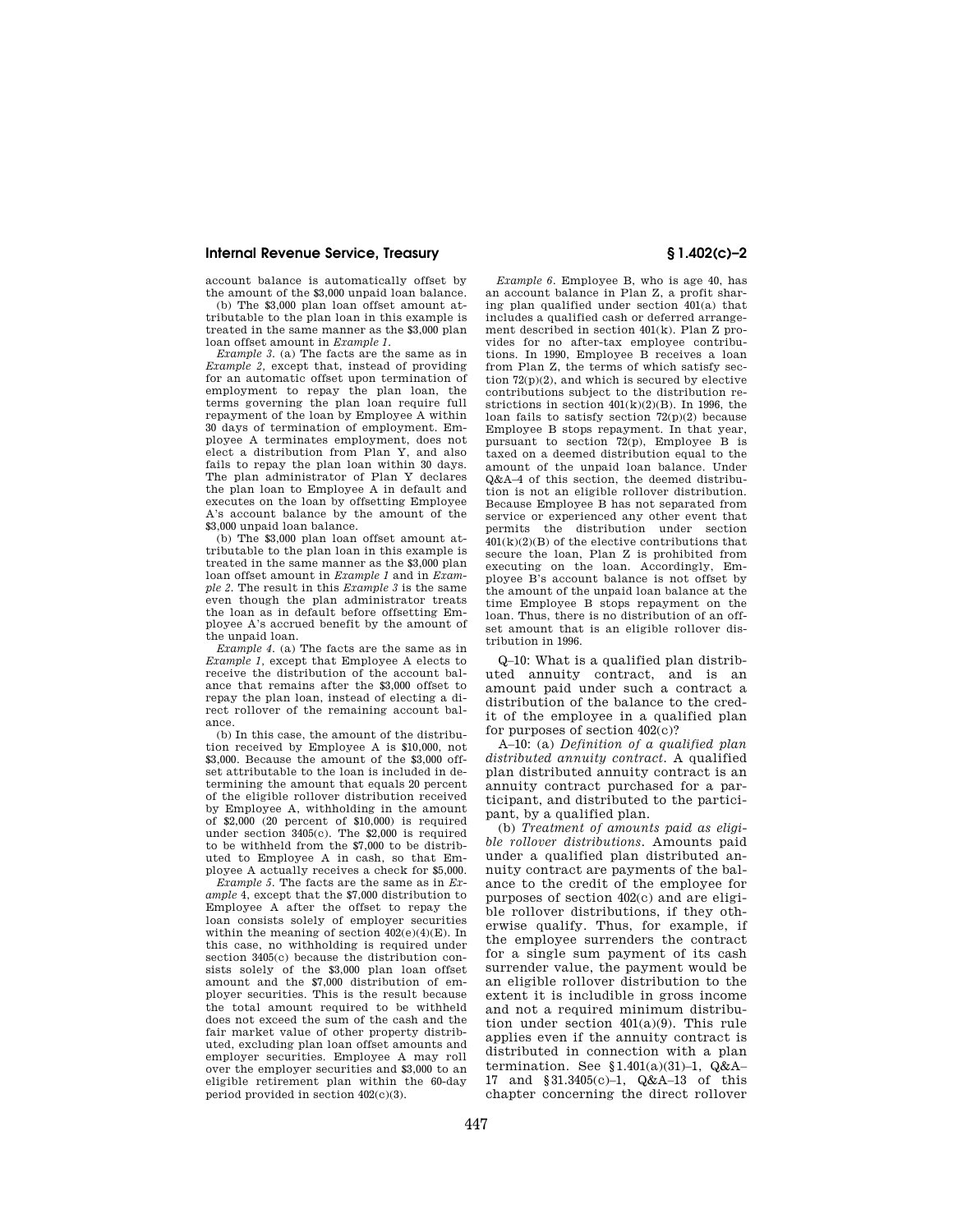account balance is automatically offset by the amount of the \$3,000 unpaid loan balance.

(b) The \$3,000 plan loan offset amount attributable to the plan loan in this example is treated in the same manner as the \$3,000 plan loan offset amount in *Example 1*.

*Example 3.* (a) The facts are the same as in *Example 2,* except that, instead of providing for an automatic offset upon termination of employment to repay the plan loan, the terms governing the plan loan require full repayment of the loan by Employee A within 30 days of termination of employment. Employee A terminates employment, does not elect a distribution from Plan Y, and also fails to repay the plan loan within 30 days. The plan administrator of Plan Y declares the plan loan to Employee A in default and executes on the loan by offsetting Employee A's account balance by the amount of the \$3,000 unpaid loan balance.

(b) The \$3,000 plan loan offset amount attributable to the plan loan in this example is treated in the same manner as the \$3,000 plan loan offset amount in *Example 1* and in *Example 2.* The result in this *Example 3* is the same even though the plan administrator treats the loan as in default before offsetting Employee A's accrued benefit by the amount of the unpaid loan.

*Example 4.* (a) The facts are the same as in *Example 1,* except that Employee A elects to receive the distribution of the account balance that remains after the \$3,000 offset to repay the plan loan, instead of electing a direct rollover of the remaining account balance.

(b) In this case, the amount of the distribution received by Employee A is \$10,000, not \$3,000. Because the amount of the \$3,000 offset attributable to the loan is included in determining the amount that equals 20 percent of the eligible rollover distribution received by Employee A, withholding in the amount of \$2,000 (20 percent of \$10,000) is required under section 3405(c). The \$2,000 is required to be withheld from the \$7,000 to be distributed to Employee A in cash, so that Employee A actually receives a check for \$5,000.

*Example 5.* The facts are the same as in *Example* 4, except that the \$7,000 distribution to Employee A after the offset to repay the loan consists solely of employer securities within the meaning of section 402(e)(4)(E). In this case, no withholding is required under section 3405(c) because the distribution consists solely of the \$3,000 plan loan offset amount and the \$7,000 distribution of employer securities. This is the result because the total amount required to be withheld does not exceed the sum of the cash and the fair market value of other property distributed, excluding plan loan offset amounts and employer securities. Employee A may roll over the employer securities and \$3,000 to an eligible retirement plan within the 60-day period provided in section 402(c)(3).

*Example 6.* Employee B, who is age 40, has an account balance in Plan Z, a profit sharing plan qualified under section 401(a) that includes a qualified cash or deferred arrangement described in section 401(k). Plan Z provides for no after-tax employee contributions. In 1990, Employee B receives a loan from Plan Z, the terms of which satisfy section 72(p)(2), and which is secured by elective contributions subject to the distribution restrictions in section  $401(k)(2)(B)$ . In 1996, the loan fails to satisfy section 72(p)(2) because Employee B stops repayment. In that year, pursuant to section 72(p), Employee B is taxed on a deemed distribution equal to the amount of the unpaid loan balance. Under Q&A–4 of this section, the deemed distribution is not an eligible rollover distribution. Because Employee B has not separated from service or experienced any other event that permits the distribution under section  $401(k)(2)(B)$  of the elective contributions that secure the loan, Plan Z is prohibited from executing on the loan. Accordingly, Employee B's account balance is not offset by the amount of the unpaid loan balance at the time Employee B stops repayment on the loan. Thus, there is no distribution of an offset amount that is an eligible rollover distribution in 1996.

Q–10: What is a qualified plan distributed annuity contract, and is an amount paid under such a contract a distribution of the balance to the credit of the employee in a qualified plan for purposes of section 402(c)?

A–10: (a) *Definition of a qualified plan distributed annuity contract.* A qualified plan distributed annuity contract is an annuity contract purchased for a participant, and distributed to the participant, by a qualified plan.

(b) *Treatment of amounts paid as eligible rollover distributions.* Amounts paid under a qualified plan distributed annuity contract are payments of the balance to the credit of the employee for purposes of section 402(c) and are eligible rollover distributions, if they otherwise qualify. Thus, for example, if the employee surrenders the contract for a single sum payment of its cash surrender value, the payment would be an eligible rollover distribution to the extent it is includible in gross income and not a required minimum distribution under section 401(a)(9). This rule applies even if the annuity contract is distributed in connection with a plan termination. See §1.401(a)(31)–1, Q&A– 17 and §31.3405(c)–1, Q&A–13 of this chapter concerning the direct rollover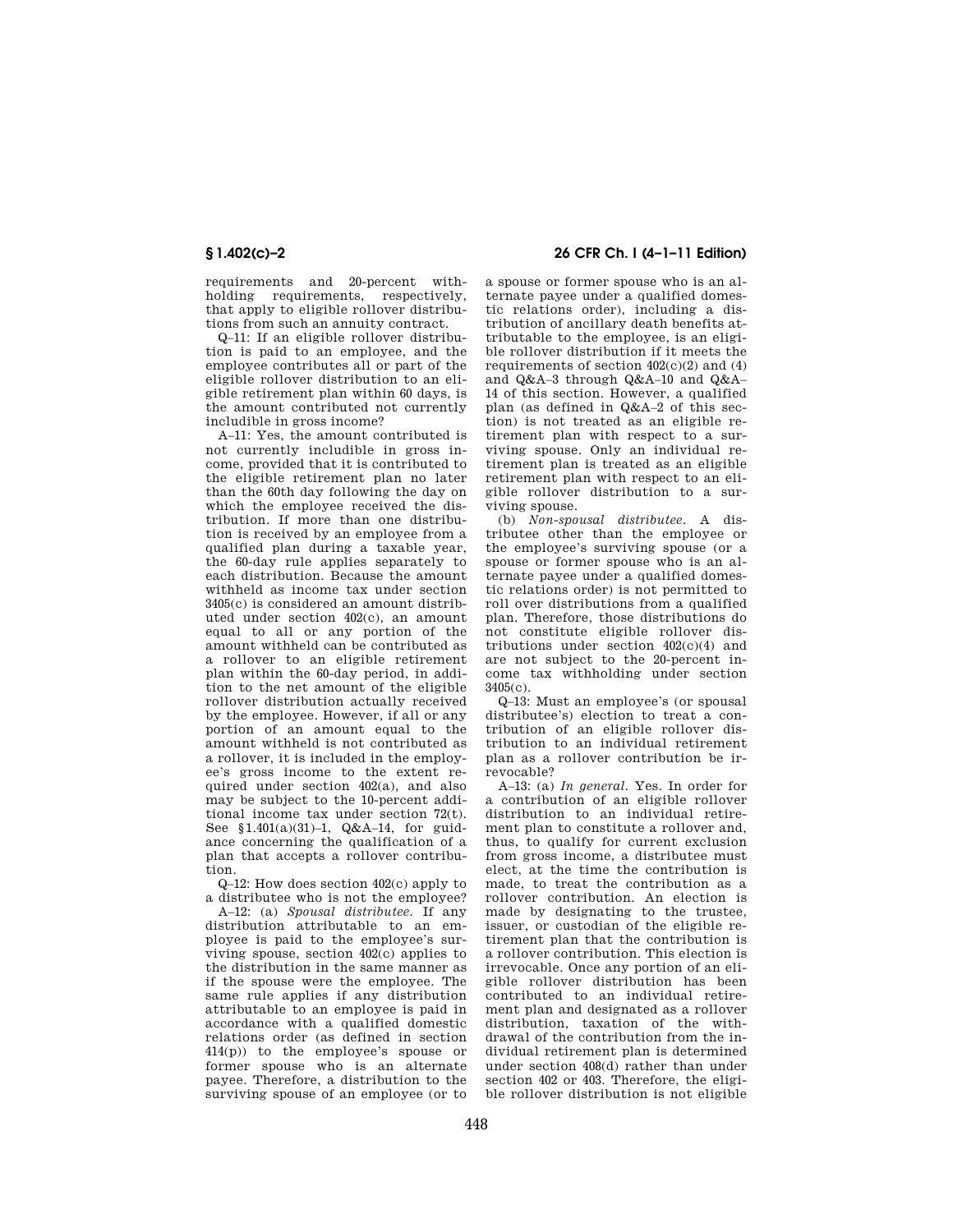requirements and 20-percent withholding requirements, respectively, that apply to eligible rollover distributions from such an annuity contract.

Q–11: If an eligible rollover distribution is paid to an employee, and the employee contributes all or part of the eligible rollover distribution to an eligible retirement plan within 60 days, is the amount contributed not currently includible in gross income?

A–11: Yes, the amount contributed is not currently includible in gross income, provided that it is contributed to the eligible retirement plan no later than the 60th day following the day on which the employee received the distribution. If more than one distribution is received by an employee from a qualified plan during a taxable year, the 60-day rule applies separately to each distribution. Because the amount withheld as income tax under section 3405(c) is considered an amount distributed under section 402(c), an amount equal to all or any portion of the amount withheld can be contributed as a rollover to an eligible retirement plan within the 60-day period, in addition to the net amount of the eligible rollover distribution actually received by the employee. However, if all or any portion of an amount equal to the amount withheld is not contributed as a rollover, it is included in the employee's gross income to the extent required under section 402(a), and also may be subject to the 10-percent additional income tax under section 72(t). See §1.401(a)(31)–1, Q&A–14, for guidance concerning the qualification of a plan that accepts a rollover contribution.

Q–12: How does section 402(c) apply to a distributee who is not the employee?

A–12: (a) *Spousal distributee.* If any distribution attributable to an employee is paid to the employee's surviving spouse, section 402(c) applies to the distribution in the same manner as if the spouse were the employee. The same rule applies if any distribution attributable to an employee is paid in accordance with a qualified domestic relations order (as defined in section 414(p)) to the employee's spouse or former spouse who is an alternate payee. Therefore, a distribution to the surviving spouse of an employee (or to

# **§ 1.402(c)–2 26 CFR Ch. I (4–1–11 Edition)**

a spouse or former spouse who is an alternate payee under a qualified domestic relations order), including a distribution of ancillary death benefits attributable to the employee, is an eligible rollover distribution if it meets the requirements of section  $402(c)(2)$  and  $(4)$ and Q&A–3 through Q&A–10 and Q&A– 14 of this section. However, a qualified plan (as defined in Q&A–2 of this section) is not treated as an eligible retirement plan with respect to a surviving spouse. Only an individual retirement plan is treated as an eligible retirement plan with respect to an eligible rollover distribution to a surviving spouse.

(b) *Non-spousal distributee.* A distributee other than the employee or the employee's surviving spouse (or a spouse or former spouse who is an alternate payee under a qualified domestic relations order) is not permitted to roll over distributions from a qualified plan. Therefore, those distributions do not constitute eligible rollover distributions under section 402(c)(4) and are not subject to the 20-percent income tax withholding under section  $3405(c)$ .

Q–13: Must an employee's (or spousal distributee's) election to treat a contribution of an eligible rollover distribution to an individual retirement plan as a rollover contribution be irrevocable?

A–13: (a) *In general.* Yes. In order for a contribution of an eligible rollover distribution to an individual retirement plan to constitute a rollover and, thus, to qualify for current exclusion from gross income, a distributee must elect, at the time the contribution is made, to treat the contribution as a rollover contribution. An election is made by designating to the trustee, issuer, or custodian of the eligible retirement plan that the contribution is a rollover contribution. This election is irrevocable. Once any portion of an eligible rollover distribution has been contributed to an individual retirement plan and designated as a rollover distribution, taxation of the withdrawal of the contribution from the individual retirement plan is determined under section 408(d) rather than under section 402 or 403. Therefore, the eligible rollover distribution is not eligible